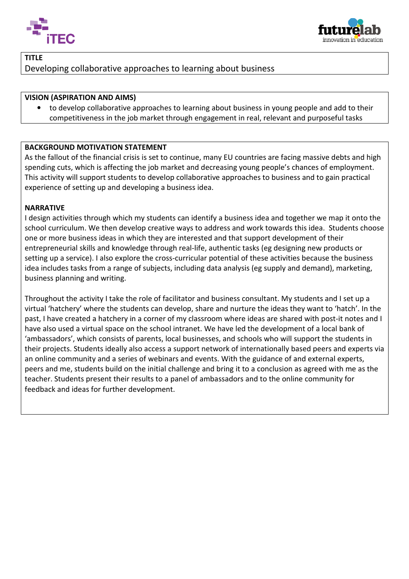



# TITLE Developing collaborative approaches to learning about business

## VISION (ASPIRATION AND AIMS)

• to develop collaborative approaches to learning about business in young people and add to their competitiveness in the job market through engagement in real, relevant and purposeful tasks

## BACKGROUND MOTIVATION STATEMENT

As the fallout of the financial crisis is set to continue, many EU countries are facing massive debts and high spending cuts, which is affecting the job market and decreasing young people's chances of employment. This activity will support students to develop collaborative approaches to business and to gain practical experience of setting up and developing a business idea.

## NARRATIVE

I

experience of setting up and developing a business idea.<br>**NARRATIVE**<br>I design activities through which my students can identify a business idea and together we map it onto the school curriculum. We then develop creative ways to address and work towards this idea. Students choose one or more business ideas in which they are interested and that support development of their entrepreneurial skills and knowledge through real-life, authentic tasks (eg designing new products or setting up a service). I also explore the cross-curricular potential of these activities because the business idea includes tasks from a range of subjects, including data analysis (eg supply and demand), marketing, business planning and writing.

Throughout the activity I take the role of facilitator and business consultant. My students and I set up a virtual 'hatchery' where the students can develop, share and nurture the ideas they want to 'hatch'. In the past, I have created a hatchery in a corner of my classroom where ideas are shared with post-it notes and I have also used a virtual space on the school intranet. We have led the development of a local bank of 'ambassadors', which consists of parents, local businesses, and schools who will support the students in their projects. Students ideally also access a support network of internationally based peers and experts via an online community and a series of webinars and events. With the guidance of and external experts, peers and me, students build on the initial challenge and bring it to a conclusion as agreed with me as the teacher. Students present their results to a panel of ambassadors and to the online community for feedback and ideas for further development.